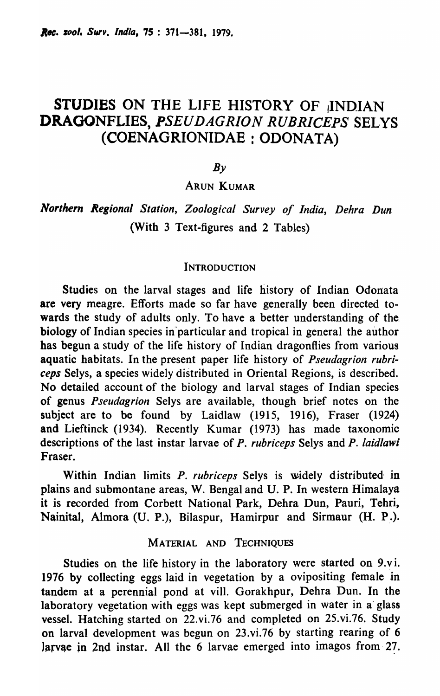# STUDIES ON THE LIFE HISTORY OF *INDIAN* DRAGONFLIES, *PSEUDAGRION RUBRICEPS* SELYS (COENAGRIONIDAE : ODONATA)

 $Bv$ 

ARUN KUMAR

*Northern Regional Station, Zoological Survey of India, Dehra Dun* (With 3 Text-figures and 2 Tables)

#### **INTRODUCTION**

Studies on the larval stages and life history of Indian Odonata are very meagre. Efforts made so far have generally been directed towards the study of adults only. To have a better understanding of the. biology of Indian species in particular and tropical in general the author has begun a study of the life history of Indian dragonflies from various aquatic habitats. In the present paper life history of *Pseudagrion rubriceps* Selys, a species widely distributed in Oriental Regions, is described. No detailed account of the biology and larval stages of Indian species of genus *Pseudagrion* Selys are available, though brief notes on the subject are to be found by Laidlaw (1915, 1916), Fraser (1924) and Lieftinck (1934). Recently Kumar (1973) has made taxonomic descriptions of the last instar larvae of *P. rubriceps* Selys and *P. laidlawi*  Fraser.

Within Indian limits *P. rubriceps* Selys is widely distributed' in plains and submontane areas, W. Bengal and U. P. In western Himalaya it is recorded from Corbett National Park, Dehra Dun, Pauri, Tehri, Nainital, Almora (U. P.), Bilaspur, Hamirpur and Sirmaur (H. P.).

#### MATERIAL AND TECHNIQUES

Studies on the life history in the laboratory were started on 9.vi. 1976 by collecting eggs laid in vegetation by a ovipositing female in tandem at a perennial pond at viII. Gorakhpur, Dehra Dun. In the laboratory vegetation with eggs was kept submerged in water in a' glass vessel. Hatching started on 22.vi.76 and completed on 25.vi.76. Study on larval development was begun on 23.vi.76 by starting rearing of 6  $l$ arvae in 2nd instar. All the 6 larvae emerged into imagos from 27.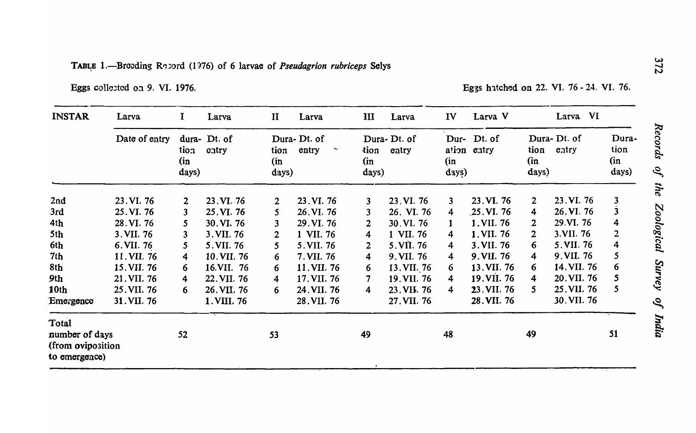Eggs collected on 9. VI. 1976. The same state of the set of the set of the set of the set of the set of the set of the set of the set of the set of the set of the set of the set of the set of the set of the set of the set

| <b>INSTAR</b>                      | Larva         | I                       | Larva                 | $\mathbf{I}$         | Larva                                         | III                  | Larva                | IV                      | Larva V             |                      | $V_{\rm I}$<br>Larva |                               |
|------------------------------------|---------------|-------------------------|-----------------------|----------------------|-----------------------------------------------|----------------------|----------------------|-------------------------|---------------------|----------------------|----------------------|-------------------------------|
|                                    | Date of entry | tion<br>(in<br>days)    | dura- Dt. of<br>catry | tion<br>(in<br>days) | Dura-Dt. of<br>entry<br>$\blacktriangleright$ | tion<br>(in<br>days) | Dura-Dt. of<br>entry | ation<br>(in<br>days)   | Dur-Dt. of<br>entry | tion<br>(in<br>days) | Dura-Dt. of<br>entry | Dura-<br>tion<br>(in<br>days) |
| 2nd                                | 23. VI. 76    | $\mathbf{2}$            | 23. VI. 76            | $\overline{2}$       | 23. VI. 76                                    | $\mathbf{3}$         | 23. VI. 76           | $\overline{\mathbf{3}}$ | 23. VI. 76          | $\overline{2}$       | 23. VI. 76           | 3                             |
| 3rd                                | 25. VI. 76    | 3                       | 25. VI. 76            | 5                    | 26. VI. 76                                    | 3                    | 26. VI. 76           | 4                       | 25.VI.76            | 4                    | 26. VI. 76           | $\hat{3}$                     |
| 4th                                | 28. VI. 76    | 5                       | 30. VI. 76            | 3                    | 29. VI. 76                                    | $\overline{2}$       | 30. VI. 76           | 1                       | 1. VII. 76          | $\overline{2}$       | 29.VI. 76            | 4                             |
| 5th                                | 3. VII. 76    | $\mathbf{3}$            | 3. VII. 76            | $\overline{2}$       | 1 VII. 76                                     | 4                    | 1 VII. 76            | 4                       | 1. VII. 76          | $\mathbf{2}$         | 3.VII. 76            | 2                             |
| 6th                                | 6. VII. 76    | 5                       | 5. VII. 76            | 5                    | 5. VII. 76                                    | $\overline{2}$       | 5. VII. 76           | 4                       | 3. VII. 76          | 6                    | 5. VII. 76           | 4                             |
| 7th                                | 11. VII. 76   | 4                       | 10. VII. 76           | 6                    | 7. VII. 76                                    | 4                    | 9. VII. 76           | 4                       | 9. VII. 76          | 4                    | 9. VII. 76           | 5                             |
| 8th                                | 15. VII. 76   | 6                       | 16.VII. 76            | 6                    | 11. VII. 76                                   | 6                    | 13. VII. 76          | 6                       | 13. VII. 76         | 6                    | 14. VII. 76          | 6                             |
| 9th                                | 21. VII. 76   | $\overline{\mathbf{4}}$ | 22. VII. 76           | 4                    | 17. VII. 76                                   | $\overline{7}$       | 19. VII. 76          | 4                       | 19. VII. 76         | 4                    | 20. VII. 76          | 5                             |
| 10th                               | 25. VII. 76   | 6                       | 26. VII. 76           | 6                    | 24. VII. 76                                   | 4                    | 23. VII. 76          | 4                       | 23. VII. 76         | 5.                   | 25. VII. 76          | 5                             |
| Emergence                          | 31.VII. 76    |                         | 1. VIII. 76           |                      | 28. VII. 76                                   |                      | 27. VII. 76          |                         | 28. VII. 76         |                      | 30. VII. 76          |                               |
| Total<br>number of days            |               | 52                      |                       | 53                   |                                               | 49                   |                      | 48                      |                     | 49                   |                      | 51                            |
| (from oviposition<br>to emergence) |               |                         |                       |                      |                                               |                      |                      |                         |                     |                      |                      |                               |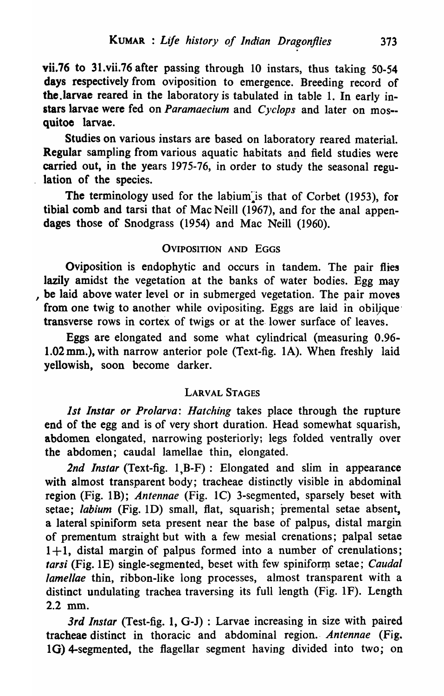vii.76 to 31.vii.76 after passing through 10 instars, thus taking 50-54 days respectively from oviposition to emergence. Breeding record of the .larvae reared in the laboratory is tabulated in table 1. In early instars larvae were fed on *Paramaecium* and *Cyclops* and later on mos- quitoe larvae.

Studies on various instars are based on laboratory reared material. Regular sampling from various aquatic habitats and field studies were carried out, in the years 1975-76, in order to study the seasonal regulation of the species.

The terminology used for the labium is that of Corbet (1953), for tibial comb and tarsi that of Mac Neill (1967), and for the anal appendages those of Snodgrass (1954) and Mac Neill (1960).

# OVIPOSITION AND EGGS

Oviposition is endophytic and occurs in tandem. The pair flies lazily amidst the vegetation at the banks of water bodies. Egg may , be laid above water level or in submerged vegetation. The pair moves from one twig to another while ovipositing. Eggs are laid in obilique transverse rows in cortex of twigs or at the. lower surface of leaves.

Eggs are elongated and some what cylindrical (measuring 0.96- 1.02mm.), with narrow anterior pole (Text-fig. lA). When freshly laid yellowish, soon become darker.

# LARVAL STAGES

*1st Instar or Prolarva: Hatching* takes place through the rupture end of the egg and is of very short duration. Head somewhat squarish, abdomen elongated, narrowing posteriorly; legs folded ventrally over the abdomen; caudal lamellae thin, elongated.

2nd *Instar* (Text-fig. 1,B-F): Elongated and slim in appearance with almost transparent body; tracheae distinctly visible in abdominal region (Fig. 1B); *Antennae* (Fig. 1C) 3-segmented, sparsely beset with setae; *labium* (Fig. ID) small, flat, squarish; premental setae absent, a lateral spiniform seta present near the base of palpus, distal margin of prementum straight but with a few mesial crenations; palpal setae  $1+1$ , distal margin of palpus formed into a number of crenulations; *tarsi* (Fig. 1E) single-segmented, beset with few spiniform setae; *Caudal lamellae* thin, ribbon-like long processes, almost transparent with a distinct undulating trachea traversing its full length (Fig. IF). Length 2.2 mm.

3rd Instar (Test-fig. 1, G-J) : Larvae increasing in size with paired tracheae distinct in thoracic and abdominal region .. *Antennae* (Fig. 1G) 4-segmented, the flagellar segment having divided into two; on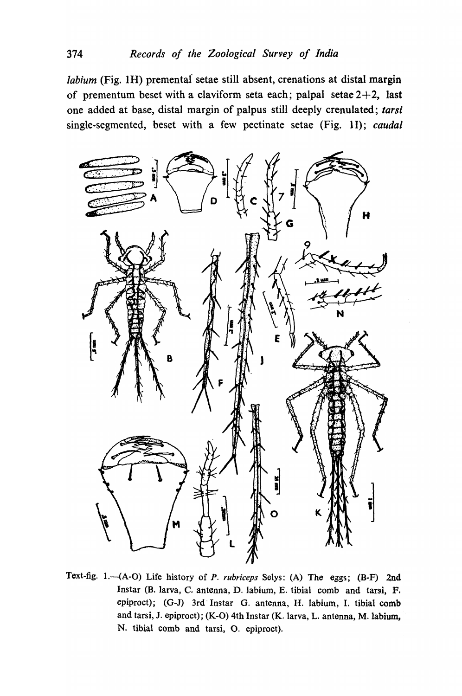*labium* (Fig. 1H) premental setae still absent, crenations at distal margin of prementum beset with a claviform seta each; palpal setae  $2+2$ , last one added at base, distal margin of palpus still deeply crenulated; *tarsi*  single-segmented, beset with a few pectinate setae (Fig. 1I); *caudal* 



Text-fig. 1.-(A-O) Life history of *P. rubriceps* Selys: (A) The eggs; (B-F) 2nd Instar (B. larva, C. antenna, D. labium, E. tibial comb and tarsi, F. epiproct); (G-J) 3rd' Instar G. antenna, H. labium, I. tibial comb and tarsi, J. epiproct); (K-O) 4th Instar (K. larva, L. antenna, M.labium, N. tibial comb and tarsi, O. epiproct).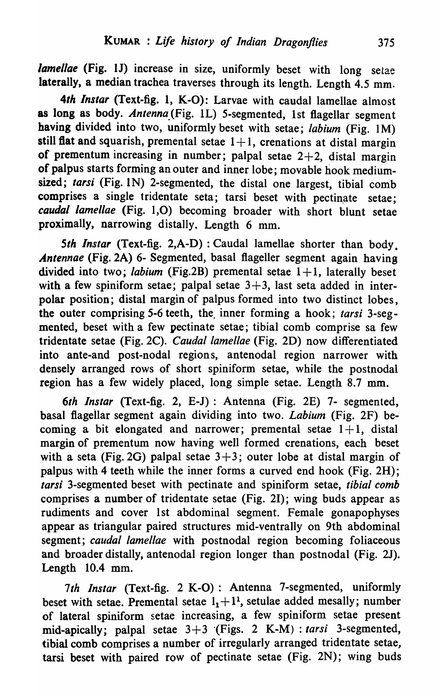*lamellae* (Fig. 1J) increase in size, uniformly beset with long setae laterally, a median trachea traverses through its length. Length 4.5 mm.

*4th Instar* (Text-fig. 1, K-O): Larvae with caudal lamellae almost as long as body. *Antenna* (Fig. 1L) 5-segmented, 1st flagellar segment having divided into two, uniformly beset with setae; *labium* (Fig. 1 M) still flat and squarish, premental setae  $1+1$ , crenations at distal margin of prementum increasing in number; palpal setae  $2+2$ , distal margin of palpus starts forming an outer and inner lobe; movable hook mediumsized; tarsi (Fig. 1N) 2-segmented, the distal one largest, tibial comb comprises a single tridentate seta; tarsi beset with pectinate setae; *caudal lamellae* (Fig. 1,0) becoming broader with short blunt setae proximally, narrowing distally. Length 6 mm.

5th Instar (Text-fig. 2,A-D) : Caudal lamellae shorter than body. *Antennae* (Fig. 2A) 6- Segmented, basal flageller segment again having divided into two; *labium* (Fig.2B) premental setae  $1+1$ , laterally beset with a few spiniform setae; palpal setae  $3+3$ , last seta added in interpolar position; distal margin of palpus formed into two distinct lobes, the outer comprising 5-6 teeth, the, inner forming a hook; *tarsi* 3-segmented, beset with a few pectinate setae; tibial comb comprise sa few tridentate setae (Fig. 2C). *Caudal lamellae* (Fig. 2D) now differentiated into ante-and post-nodal region s, antenodal region narrower with densely arranged rows of short spiniform setae, while the postnodal region has a few widely placed, long simple setae. Length 8.7 mm.

*6th Instar* (Text-fig. 2, E-J) : Antenna (Fig. 2E) 7- segmented, basal flagellar segment again dividing into two. *Labium* (Fig. 2F) becoming a bit elongated and narrower; premental setae  $1+1$ , distal margin of prementum now having well formed crenations, each beset with a seta (Fig. 2G) palpal setae  $3+3$ ; outer lobe at distal margin of palpus with 4 teeth while the inner forms a curved end hook (Fig. 2H); *tarsi* 3-segmented beset with pectinate and spiniform setae, *tibial comb*  comprises a number of tridentate setae (Fig. 21); wing buds appear as rudiments and cover 1st abdominal segment. Female gonapophyses appear as triangular paired structures mid-ventrally on 9th abdominal segment; *caudal lamellae* with postnodal region becoming foliaceous and broader distally, antenodal region longer than postnodal (Fig. 2J). Length 10.4 mm.

7th Instar (Text-fig. 2 K-O): Antenna 7-segmented, uniformly beset with setae. Premental setae  $1_1 + 1^1$ , setulae added mesally; number of lateral spiniform setae increasing, a few spiniform setae present mid-apically; palpal setae 3+3 (Figs. 2 K-M) : *tarsi* 3-segmented, tibial comb comprises a number of irregularly arranged tridentate setae, tarsi beset with paired row of pectinate setae (Fig. 2N); wing buds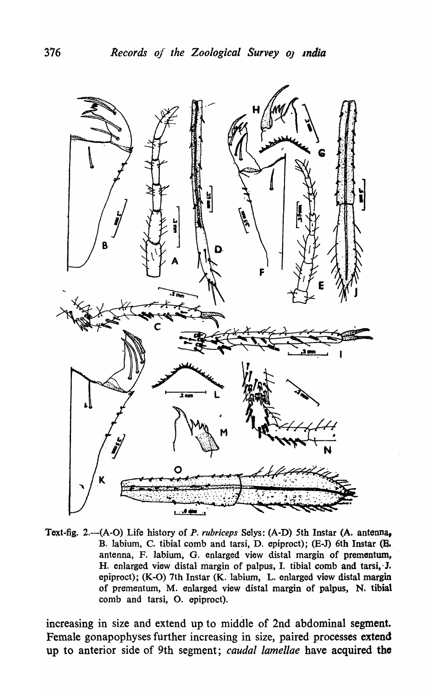

Text-fig. 2.-(A-O) Life history of *P. rubriceps* Selys: (A-D) 5th Instar (A. antenna, B. labium, C. tibial comb and tarsi, D. epiproct); (E-J) 6th Instar (B. antenna, F. labium, G. enlarged view distal margin of prementum, H. enlarged view distal margin of palpus, I. tibial comb and tarsi, J. epiproct); (K-O) 7th Instar (K. labium, L. enlarged view distal margin of prementum, M. enlarged view distal margin of palpus, N. tibial comb and tarsi, O. epiproct).

increasing in size and extend up to middle of 2nd abdominal segment. Female gonapophyses further increasing in size, paired processes extend up to anterior side of 9th segment; *caudal lamellae* have acquired the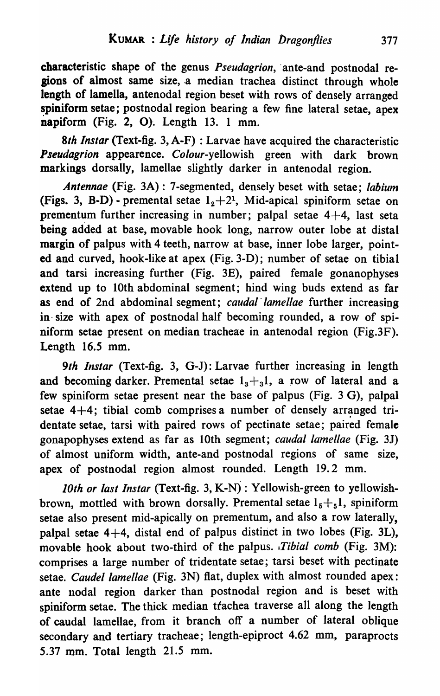characteristic shape of the genus *Pseudagrion*, ante-and postnodal regions of almost same size,.a median trachea distinct through whole length of lamella, antenodal region beset with rows of densely arranged spiniform setae; postnodal region bearing a few fine lateral setae, apex napiform (Fig. 2, O). Length 13. 1 mm.

*8th Instar* (Text-fig. 3, A-F) : Larvae have acquired the characteristic **Pseudagrion appearence.** *Colour-yellowish* green with dark brown markings dorsally, lamellae slightly darker in antenodal region.

*Antennae* (Fig. 3A) : 7 -segmented, densely beset with setae; *labium*  (Figs. 3, B-D) - premental setae  $1<sub>2</sub>+2<sup>1</sup>$ , Mid-apical spiniform setae on prementum further increasing in number; palpal setae  $4+4$ , last seta being added at base, movable hook long, narrow outer lobe at distal margin of palpus with 4 teeth, narrow at base, inner lobe larger, pointed and curved, hook-like at apex (Fig. 3-D); number of setae on tibial and tarsi increasing further (Fig. 3E), paired female gonanophyses extend up to 10th abdominal segment; hind wing buds extend as far as end of 2nd abdominal segment; *caudal'lamellae* further increasing in- size with apex of postnodal half becoming rounded, a row of spiniform setae present on median tracheae in antenodal region (Fig.3F). Length 16.5 mm.

9th Instar (Text-fig. 3, G-J): Larvae further increasing in length and becoming darker. Premental setae  $1<sub>3</sub>+31$ , a row of lateral and a few spiniform setae present near the base of palpus (Fig. 3 G), palpal setae  $4+4$ ; tibial comb comprises a number of densely arranged tridentate setae, tarsi with paired rows of pectinate setae; paired female gonapophyses extend as far as 10th segment; *caudal lamellae* (Fig. 3J) of almost uniform width, ante-and postnodal regions of same size, apex of postnodal region almost rounded. Length 19.2 mm.

*10th or last Instar* (Text-fig. 3, K-N) : Yellowish-green to yellowishbrown, mottled with brown dorsally. Premental setae  $1_5 + 1_5$ , spiniform setae also present mid-apically on prementum, and also a row laterally, palpal setae  $4+4$ , distal end of palpus distinct in two lobes (Fig. 3L), movable hook about two-third of the palpus. *,Tibial comb* (Fig. 3M): comprises a large number of tridentate setae; tarsi beset with pectinate setae. *Caudel lamellae* (Fig. 3N) fiat, duplex with almost rounded apex: ante nodal region darker than postnodal region and is beset with spiniform setae. The thick median trachea traverse all along the length of caudal lamellae, from it branch off a number of lateral oblique secondary and tertiary tracheae; length-epiproct 4.62 mm, paraprocts 5.37 mm. Total length 21.5 mm.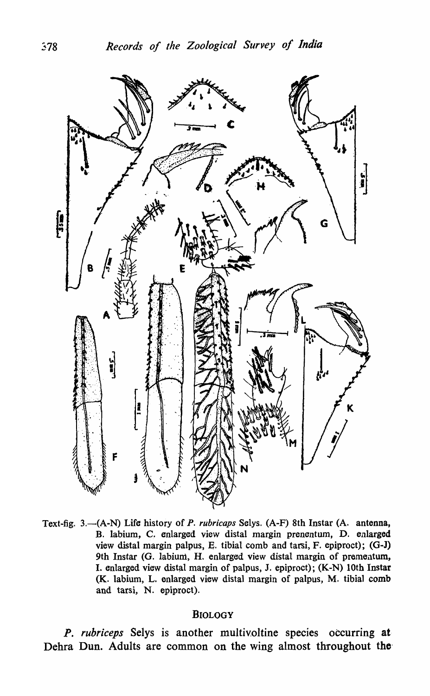

Text-fig. 3.-(A-N) Life history of *P. rubricaps* Selys. (A-F) 8th Instar (A. antenna, B. labium, C. enlarged view distal margin prenentum, D. enlarged view distal margin palpus, E. tibial comb and tarsi, F. epiproct); (O-J) 9th Instar (G. labium, H. enlarged view distal margin of prementum, I. enlarged view distal margin of palpus, J. epiproct); (K-N) 10th Instar (K. labium, L. enlarged view distal margin of palpus, M. tibial comb and tarsi, N. epiproct).

#### BIOLOGY

*P. ruhriceps* Selys is another multivoltine species occurring at Dehra Dun. Adults are common on the wing almost throughout the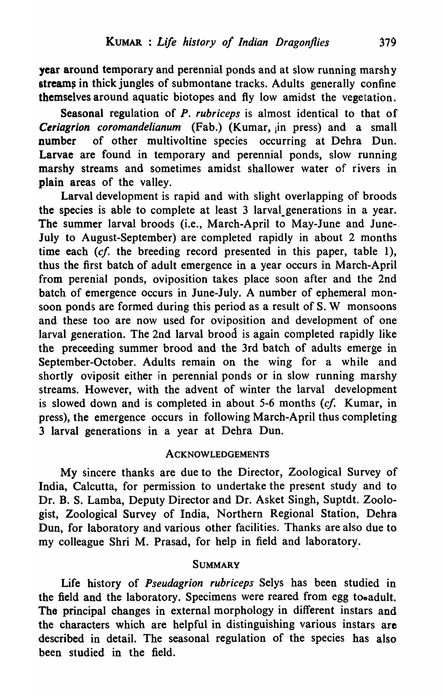year around temporary and perennial ponds and at slow running marshy streams in thick jungles of submontane tracks. Adults generally confine themselves around aquatic biotopes and fly low amidst the vegetation.

Seasonal regulation of *P. rubriceps* is almost identical to that of Ceriagrion coromandelianum (Fab.) (Kumar, in press) and a small number of other multivoltine species occurring at Dehra Dun. Larvae are found in temporary and perennial ponds, slow running marshy streams and sometimes amidst shallower water of rivers in plain areas of the valley.

Larval development is rapid and with slight overlapping of broods the species is able to complete at least 3 larval generations in a year. The summer larval broods (i.e., March-April to May-June and June-- July to August-September) are completed rapidly in about 2 months time each  $(cf)$  the breeding record presented in this paper, table 1), thus the first batch of adult emergence in a year occurs in March-April from perenial ponds, oviposition takes place soon after and the 2nd batch of emergence occurs in June-July. A number of ephemeral monsoon ponds are formed during this period as a result of S. W monsoons and these too are now used for oviposition and development of one larval generation. The 2nd larval brood is again completed rapidly like the preceeding summer brood and the 3rd batch of adults emerge in September-October. Adults remain on the wing for a while and shortly oviposit either in perennial ponds or in slow running marshy streams. However, with the advent of winter the larval development is slowed down and is completed in about 5-6 months (cf. Kumar, in press), the emergence occurs in following March-April thus completing 3 larval generations in a year at Dehra Dun.

# ACKNOWLEDGEMENTS

My sincere thanks are due to the Director, Zoological Survey of India, Calcutta, for permission to undertake the present study and to Dr. B. S. Lamba, Deputy Director and Dr. Asket Singh, Suptdt. Zoologist, Zoological Survey of India, Northern Regional Station, Dehra Dun, for laboratory and various other facilities. Thanks are also due to my colleague Shri M. Prasad, for help in field and laboratory:.

# **SUMMARY**

Life history of *Pseudagrion ruhriceps* Selys has been studied in the field and the laboratory. Specimens were reared from egg to.adult. The principal changes in external morphology in different instars and the characters which are helpful in distinguishing various instars are described in detail. The seasonal regulation of the species has also been studied in the field.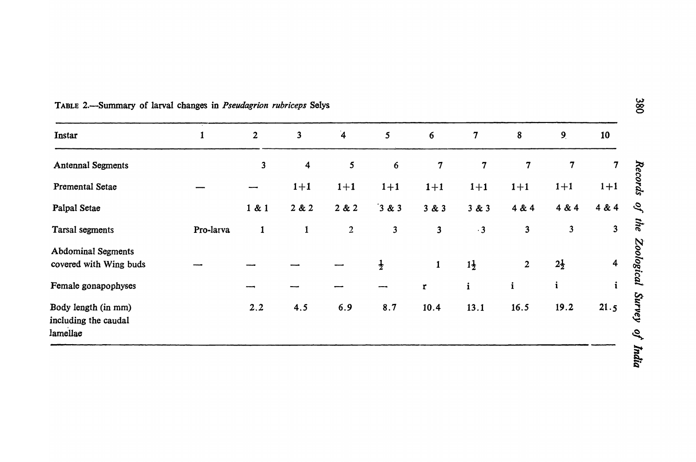| Instar                                                  | 1         | $\overline{2}$          | $\overline{\mathbf{3}}$ | $\overline{\mathbf{4}}$ | 5 <sup>5</sup>          | $6\overline{6}$         | $\boldsymbol{7}$ | 8                       | 9 <sub>l</sub> | 10                      |
|---------------------------------------------------------|-----------|-------------------------|-------------------------|-------------------------|-------------------------|-------------------------|------------------|-------------------------|----------------|-------------------------|
| <b>Antennal Segments</b>                                |           | $\overline{\mathbf{3}}$ | $\overline{\mathbf{4}}$ | 5                       | $6\phantom{1}$          | $\overline{7}$          | $\overline{7}$   | $\overline{7}$          | $\overline{7}$ | 7                       |
| <b>Premental Setae</b>                                  |           |                         | $1+1$                   | $1 + 1$                 | $1 + 1$                 | $1 + 1$                 | $1+1$            | $1+1$                   | $1+1$          | $1+1$                   |
| Palpal Setae                                            |           | 1 & 1                   | 2 & 2                   | 2 & 2                   | $3 & 3$                 | 3 & 3                   | 3 & 3            | 4 & 4                   | 4 & 4          | 4 & 4                   |
| Tarsal segments                                         | Pro-larva | $\mathbf{1}$            | $\mathbf{1}$            | $\overline{2}$          | $\overline{\mathbf{3}}$ | $\overline{\mathbf{3}}$ | $\cdot$ 3        | $\overline{\mathbf{3}}$ | $\mathbf{3}$   | $\overline{\mathbf{3}}$ |
| <b>Abdominal Segments</b><br>covered with Wing buds     |           |                         |                         |                         | $\frac{1}{2}$           | $\mathbf{1}$            | $1\frac{1}{2}$   | $\overline{2}$          | $2\frac{1}{2}$ | $\overline{\mathbf{4}}$ |
| Female gonapophyses                                     |           |                         |                         |                         |                         | $\overline{\mathbf{r}}$ | $\mathbf{i}$     | $\mathbf{i}$            | $\mathbf{i}$   |                         |
| Body length (in mm)<br>including the caudal<br>lamellae |           | 2, 2                    | 4.5                     | 6.9                     | 8.7                     | 10.4                    | 13.1             | 16.5                    | 19.2           | 21.5                    |

| TABLE 2.—Summary of larval changes in <i>Pseudagrion rubriceps</i> Selys |  |
|--------------------------------------------------------------------------|--|